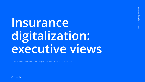# **Insurance digitalization: executive views**

100 decision -making executives in digital insurance, UK focus, September 2021



FintechOS 2021 | All rights reserved All rights reser ntechOS 2021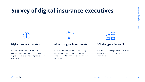How active are insurers in terms of developing and releasing updates and improvements to their digital products and channels?

What are insurers' stated aims when they invest in digital capabilities, and do the executives feel they are achieving what they set out to?







Can we detect strategic differences in the digital-first competitors versus the incumbents?

FintechOS 2021 | All rights reserved 2621 | All rights reserved

### **Digital product updates Aims of digital investments "Challenger mindset"?**

## **Survey of digital insurance executives**

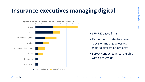## **Insurance executives managing digital**

3FintechOS 2021 | All rights reserved | All rights reserved FintechOS 2021

- 87% UK-based firms
- Respondents state they have "decision-making power over major digitalisation projects"
- Survey conducted in partnership with Censuswide



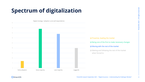FintechOS 2021 | All rights reserved 4FintechOS 2021 | All rights reserved

 $\boldsymbol{\varDelta}$ 

## **Spectrum of digitalization**

❑ Being one of the first to make necessary changes

❑ Moving with the rest of the market

❑ Waiting and following the rest of the market when forced to



**S** fintechOS

□ Proactive, leading the market

Digital strategy / adoption curve (all respondents)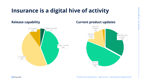FintechOS 2021 | All rights reserved 5FintechOS 2021 | All rights reserved

### **Insurance is a digital hive of activity**

FintechOS research September 2021 – "Digital Insurance – Understanding the Challenger Mindset"

### **Release capability Current product updates**



**S** fintechOS

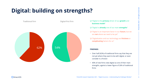## **Digital: building on strengths?**

- ❑ "Digital is the **primary** driver of our **growth** and **business model**"
- ❑ "Digital is **already** one of our main **strengths**"
- ❑ "Digital is an important factor in our **future**, but we are **not** where we need to be yet"
- ❑ "Digitalization and our technology are **frictions** or **complicating** factors for us"

### **FINDINGS:**

- Over half (62%) of traditional firms say that they are not yet where they want to be with digital, or even consider it a friction
- 40% of new firms view digital as one of their main strengths, against a lower figure of 26% of traditional firms

FintechOS 2021 | All rights reserved on and the chOS 2021 | All rights reserved



Traditional firm





Digital-first firm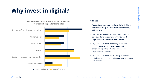## **Why invest in digital?**

### **FINDINGS:**

- Respondents from traditional and digital-first firms were equally likely to associate investment in digital with **growth**
- However, traditional firms were 1.4x as likely to associate digital investments with **internal IT improvements and internal efficiencies**
- Digital-first firms were more likely to focus on benefits for **customer engagement and satisfaction** (62% vs 44% of traditional firm respondents chose this option)
- Digital-first firms were twice as likely to consider digital improvements to be about **attracting outside investment**

FintechOS 2021 | All rights reserved **7FintechOS 2021** | All rights reserved







### **Key benefits of investment in digital capabilities: % of cohort respondents included**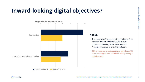## **Inward-looking digital objectives?**



- Three-quarters of respondents from traditional firms consider "**process efficiency**" as the primary purpose of technology and IT work, ahead of "**tangible improvements for the end user**".
- 50% of respondents state **customer experience** (CX) is not routinely, or ever, considered when planning a digital project

FintechOS 2021 | All rights reserved 8 a conserved and the chOS 2021 | All rights reserved





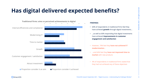FintechOS 2021 | All rights reserved 9FintechOS 2021 | All rights reserved

**9** 

### **Has digital delivered expected benefits?**

### **FINDINGS:**

- 64% of respondents in traditional firms feel they have achieved **growth** through digital investments…
- …as well as 66% responding that digital investments have achieved **improvements in customer engagement and satisfaction**
- However, 74% feel they **have not achieved IT modernization**…
- …and 64% feel they **have not improved time to market** with new products
- 4% of respondents in traditional firms stated that they had not achieved any of these objectives





### **Traditional firms: aims vs perceived achievements in digital**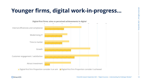## **Younger firms, digital work-in-progress…**

1 All rights reserved ved All rights reser FintechOS 2021

10



**S** fintechOS

### **Digital-first firms: aims vs perceived achievements in digital**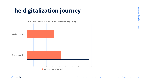## **The digitalization journey**





1 All rights reserved  $\overline{\mathbf{e}}$ All rights r FintechOS 2021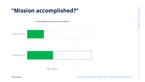### **"Mission accomplished?"**







| 35 | 40 | 45 | 50 |
|----|----|----|----|

FintechOS research September 2021 – "Digital Insurance – Understanding the Challenger Mindset"

1 All rights reserved<br>N<br>RintechOS 2021 | All rights reserved ved All rights rese FintechOS 2021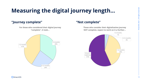## **Measuring the digital journey length…**

### **"Journey complete" "Not complete"**





**For those who considered their digital journey "complete", it took…**



FintechOS 2021 | All rights reserved 1 All rights reserved<br>
3 FintechOS 2021 | All rights reserved



**Those who consider their digitalization journey NOT complete, expect to work on it a further…**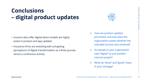### **Conclusions – digital product updates**

- ➢ How are product updates prioritized, and how does the organization assess whether the intended success was achieved?
- ➢ Do people in your organization view "digital" as just another internal project?
- What do "done" and "good" mean in your strategy?
- Insurers who offer digital-direct models are highly active in product and app updates
- Insurance firms are wrestling with competing perceptions of digital transformation as a finite journey versus a continuous activity





FintechOS research September 2021 – "Digital Insurance – Understanding the Challenger Mindset"

1 All rights reserved FintechOS 2021 | All rights reserved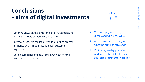### **Conclusions – aims of digital investments**

| nt and       | $\triangleright$ Who is happy with progress on<br>digital, and who isn't? Why?                     |
|--------------|----------------------------------------------------------------------------------------------------|
| <b>OCESS</b> | $\triangleright$ Are the customers happy with<br>what the firm has achieved?                       |
| ed           | Do the day-to-day priorities<br>undermine the ability to make<br>strategic investments in digital? |

- Differing views on the aims for digital investmen innovation could compete within a firm
- Internal pressures can lead firms to prioritize process efficiency and IT modernization over customer experience
- Both incumbents and new firms have experience frustration with digitalization





FintechOS 2021 | All rights reserved 1 All rights reserved<br>5  $-$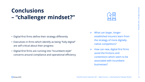### **Conclusions – "challenger mindset?"**

- What can larger, longerestablished insurers learn from the strategy of more digitallynative competitors?
- ➢ How can new, digital-first firms avoid the frictions and contentions which seem to be associated with incumbent businesses?
- Digital-first firms define their strategy differently
- Executives in firms which identify as being "fully-digital" are self-critical about their progress
- Digital-first firms are running into "incumbent-style" concerns around compliance and operational efficiency





FintechOS 2021 | All rights reserved a 1 All rights reserved<br>
a 1 All rights reserved